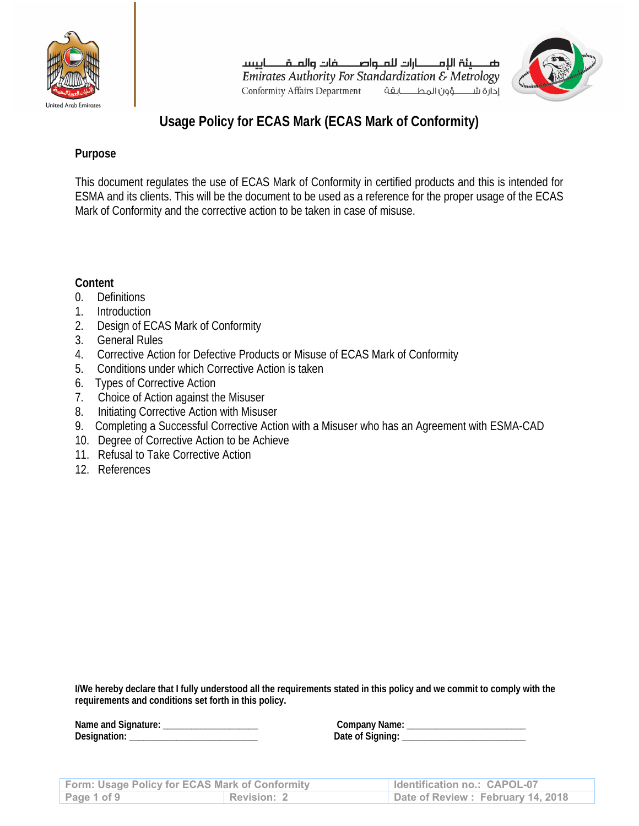

صـــــينة اللمـــــــارات للمــواصــــــــفات والمــقـــــــاييسـ Emirates Authority For Standardization  $\mathcal E$  Metrology **Conformity Affairs Department** إدارة شهؤون المطابقة



# **Usage Policy for ECAS Mark (ECAS Mark of Conformity)**

# **Purpose**

This document regulates the use of ECAS Mark of Conformity in certified products and this is intended for ESMA and its clients. This will be the document to be used as a reference for the proper usage of the ECAS Mark of Conformity and the corrective action to be taken in case of misuse.

# **Content**

- 0. Definitions
- 1. Introduction
- 2. Design of ECAS Mark of Conformity
- 3. General Rules
- 4. Corrective Action for Defective Products or Misuse of ECAS Mark of Conformity
- 5. Conditions under which Corrective Action is taken
- 6. Types of Corrective Action
- 7. Choice of Action against the Misuser
- 8. Initiating Corrective Action with Misuser
- 9. Completing a Successful Corrective Action with a Misuser who has an Agreement with ESMA-CAD
- 10. Degree of Corrective Action to be Achieve
- 11. Refusal to Take Corrective Action
- 12. References

**I/We hereby declare that I fully understood all the requirements stated in this policy and we commit to comply with the requirements and conditions set forth in this policy.** 

| Form: Usage Policy for ECAS Mark of Conformity |                    | Identification no.: CAPOL-07      |
|------------------------------------------------|--------------------|-----------------------------------|
| Page 1 of 9                                    | <b>Revision: 2</b> | Date of Review: February 14, 2018 |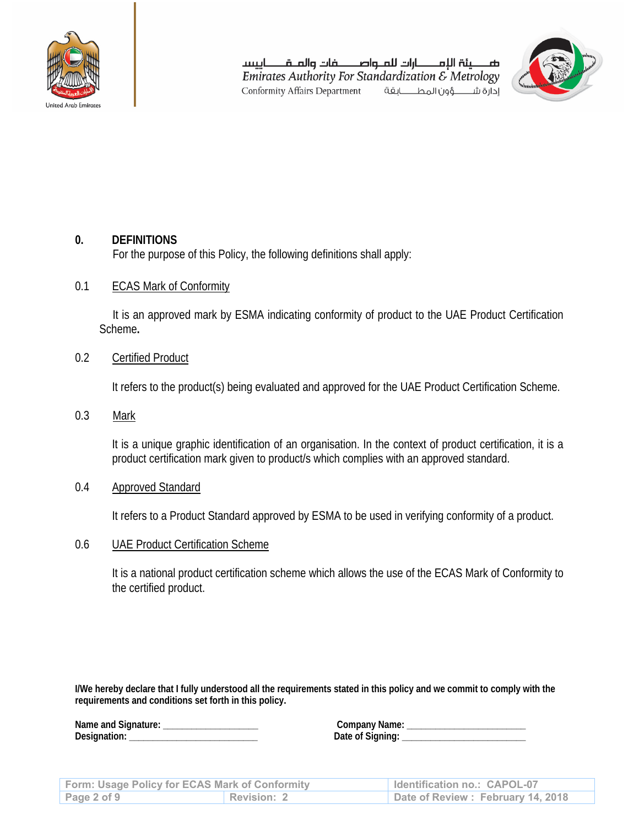

صـــــينة اللمـــــــارات للمــواصــــــــفات والمــقـــــــاييسـ Emirates Authority For Standardization  $\mathcal E$  Metrology Conformity Affairs Department إدارة شهؤون المطابقة



# **0. DEFINITIONS**

For the purpose of this Policy, the following definitions shall apply:

#### 0.1 ECAS Mark of Conformity

It is an approved mark by ESMA indicating conformity of product to the UAE Product Certification Scheme**.** 

# 0.2 Certified Product

It refers to the product(s) being evaluated and approved for the UAE Product Certification Scheme.

0.3 Mark

 It is a unique graphic identification of an organisation. In the context of product certification, it is a product certification mark given to product/s which complies with an approved standard.

0.4 Approved Standard

It refers to a Product Standard approved by ESMA to be used in verifying conformity of a product.

0.6 UAE Product Certification Scheme

 It is a national product certification scheme which allows the use of the ECAS Mark of Conformity to the certified product.

**I/We hereby declare that I fully understood all the requirements stated in this policy and we commit to comply with the requirements and conditions set forth in this policy.** 

**Designation: \_\_\_\_\_\_\_\_\_\_\_\_\_\_\_\_\_\_\_\_\_\_\_\_\_\_\_ Date of Signing: \_\_\_\_\_\_\_\_\_\_\_\_\_\_\_\_\_\_\_\_\_\_\_\_\_\_** 

**Name and Signature: \_\_\_\_\_\_\_\_\_\_\_\_\_\_\_\_\_\_\_\_ Company Name: \_\_\_\_\_\_\_\_\_\_\_\_\_\_\_\_\_\_\_\_\_\_\_\_\_** 

| <b>Form: Usage Policy for ECAS Mark of Conformity</b> |             | Identification no.: CAPOL-07      |
|-------------------------------------------------------|-------------|-----------------------------------|
| Page $2$ of $9$                                       | Revision: 2 | Date of Review: February 14, 2018 |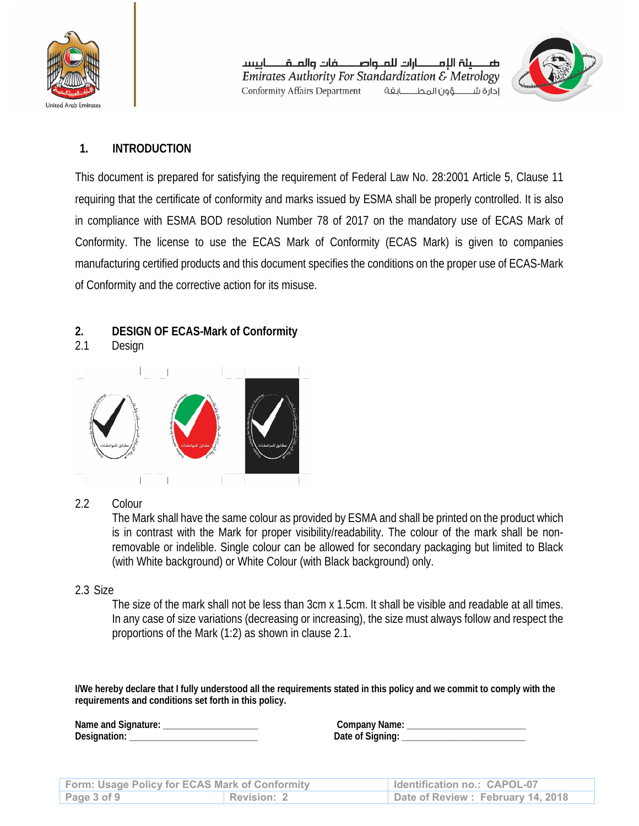

ضطبثة اللمطارات للملواصطفات والملقطايسيا Emirates Authority For Standardization & Metrology Conformity Affairs Department إدارة شهؤون المطابقة



# **1. INTRODUCTION**

This document is prepared for satisfying the requirement of Federal Law No. 28:2001 Article 5, Clause 11 requiring that the certificate of conformity and marks issued by ESMA shall be properly controlled. It is also in compliance with ESMA BOD resolution Number 78 of 2017 on the mandatory use of ECAS Mark of Conformity. The license to use the ECAS Mark of Conformity (ECAS Mark) is given to companies manufacturing certified products and this document specifies the conditions on the proper use of ECAS-Mark of Conformity and the corrective action for its misuse.

# **2. DESIGN OF ECAS-Mark of Conformity**

2.1 Design



#### 2.2 Colour

 The Mark shall have the same colour as provided by ESMA and shall be printed on the product which is in contrast with the Mark for proper visibility/readability. The colour of the mark shall be nonremovable or indelible. Single colour can be allowed for secondary packaging but limited to Black (with White background) or White Colour (with Black background) only.

#### 2.3 Size

 The size of the mark shall not be less than 3cm x 1.5cm. It shall be visible and readable at all times. In any case of size variations (decreasing or increasing), the size must always follow and respect the proportions of the Mark (1:2) as shown in clause 2.1.

**I/We hereby declare that I fully understood all the requirements stated in this policy and we commit to comply with the requirements and conditions set forth in this policy.** 

| Form: Usage Policy for ECAS Mark of Conformity |             | Identification no.: CAPOL-07      |
|------------------------------------------------|-------------|-----------------------------------|
| Page 3 of 9                                    | Revision: 2 | Date of Review: February 14, 2018 |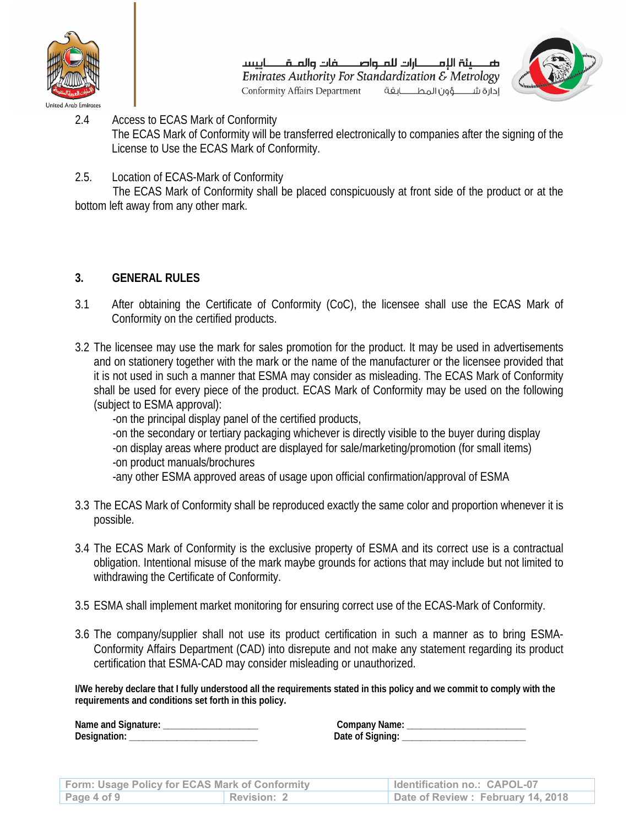

صـــــينة اللمـــــــارات للمــواصــــــــفات والمــقـــــــاييسـ Emirates Authority For Standardization & Metrology **Conformity Affairs Department** إدارة شهؤون المطابقة



- 2.4 Access to ECAS Mark of Conformity The ECAS Mark of Conformity will be transferred electronically to companies after the signing of the License to Use the ECAS Mark of Conformity.
- 2.5. Location of ECAS-Mark of Conformity

 The ECAS Mark of Conformity shall be placed conspicuously at front side of the product or at the bottom left away from any other mark.

# **3. GENERAL RULES**

- 3.1 After obtaining the Certificate of Conformity (CoC), the licensee shall use the ECAS Mark of Conformity on the certified products.
- 3.2 The licensee may use the mark for sales promotion for the product. It may be used in advertisements and on stationery together with the mark or the name of the manufacturer or the licensee provided that it is not used in such a manner that ESMA may consider as misleading. The ECAS Mark of Conformity shall be used for every piece of the product. ECAS Mark of Conformity may be used on the following (subject to ESMA approval):

-on the principal display panel of the certified products, -on the secondary or tertiary packaging whichever is directly visible to the buyer during display -on display areas where product are displayed for sale/marketing/promotion (for small items) -on product manuals/brochures

-any other ESMA approved areas of usage upon official confirmation/approval of ESMA

- 3.3 The ECAS Mark of Conformity shall be reproduced exactly the same color and proportion whenever it is possible.
- 3.4 The ECAS Mark of Conformity is the exclusive property of ESMA and its correct use is a contractual obligation. Intentional misuse of the mark maybe grounds for actions that may include but not limited to withdrawing the Certificate of Conformity.
- 3.5 ESMA shall implement market monitoring for ensuring correct use of the ECAS-Mark of Conformity.
- 3.6 The company/supplier shall not use its product certification in such a manner as to bring ESMA-Conformity Affairs Department (CAD) into disrepute and not make any statement regarding its product certification that ESMA-CAD may consider misleading or unauthorized.

**I/We hereby declare that I fully understood all the requirements stated in this policy and we commit to comply with the requirements and conditions set forth in this policy.** 

| <b>Form: Usage Policy for ECAS Mark of Conformity</b> |             | Identification no.: CAPOL-07      |
|-------------------------------------------------------|-------------|-----------------------------------|
| Page $4$ of $9$                                       | Revision: 2 | Date of Review: February 14, 2018 |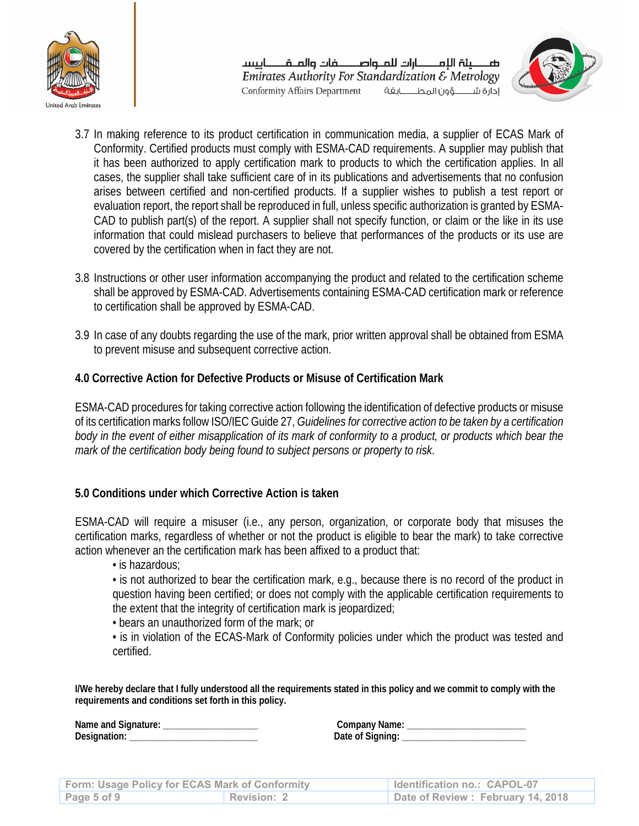

ضصينة اللمصارات للملواصصفات والملقصاييسا Emirates Authority For Standardization  $\mathcal E$  Metrology إدارة شــــــــوُون المطـــــــابقة Conformity Affairs Department



- 3.7 In making reference to its product certification in communication media, a supplier of ECAS Mark of Conformity. Certified products must comply with ESMA-CAD requirements. A supplier may publish that it has been authorized to apply certification mark to products to which the certification applies. In all cases, the supplier shall take sufficient care of in its publications and advertisements that no confusion arises between certified and non-certified products. If a supplier wishes to publish a test report or evaluation report, the report shall be reproduced in full, unless specific authorization is granted by ESMA-CAD to publish part(s) of the report. A supplier shall not specify function, or claim or the like in its use information that could mislead purchasers to believe that performances of the products or its use are covered by the certification when in fact they are not.
- 3.8 Instructions or other user information accompanying the product and related to the certification scheme shall be approved by ESMA-CAD. Advertisements containing ESMA-CAD certification mark or reference to certification shall be approved by ESMA-CAD.
- 3.9 In case of any doubts regarding the use of the mark, prior written approval shall be obtained from ESMA to prevent misuse and subsequent corrective action.

# **4.0 Corrective Action for Defective Products or Misuse of Certification Mark**

ESMA-CAD procedures for taking corrective action following the identification of defective products or misuse of its certification marks follow ISO/IEC Guide 27, *Guidelines for corrective action to be taken by a certification body in the event of either misapplication of its mark of conformity to a product, or products which bear the mark of the certification body being found to subject persons or property to risk*.

#### **5.0 Conditions under which Corrective Action is taken**

ESMA-CAD will require a misuser (i.e., any person, organization, or corporate body that misuses the certification marks, regardless of whether or not the product is eligible to bear the mark) to take corrective action whenever an the certification mark has been affixed to a product that:

• is hazardous;

• is not authorized to bear the certification mark, e.g., because there is no record of the product in question having been certified; or does not comply with the applicable certification requirements to the extent that the integrity of certification mark is jeopardized;

- bears an unauthorized form of the mark; or
- is in violation of the ECAS-Mark of Conformity policies under which the product was tested and certified.

**I/We hereby declare that I fully understood all the requirements stated in this policy and we commit to comply with the requirements and conditions set forth in this policy.** 

| Form: Usage Policy for ECAS Mark of Conformity |                    | Identification no.: CAPOL-07      |
|------------------------------------------------|--------------------|-----------------------------------|
| Page 5 of 9                                    | <b>Revision: 2</b> | Date of Review: February 14, 2018 |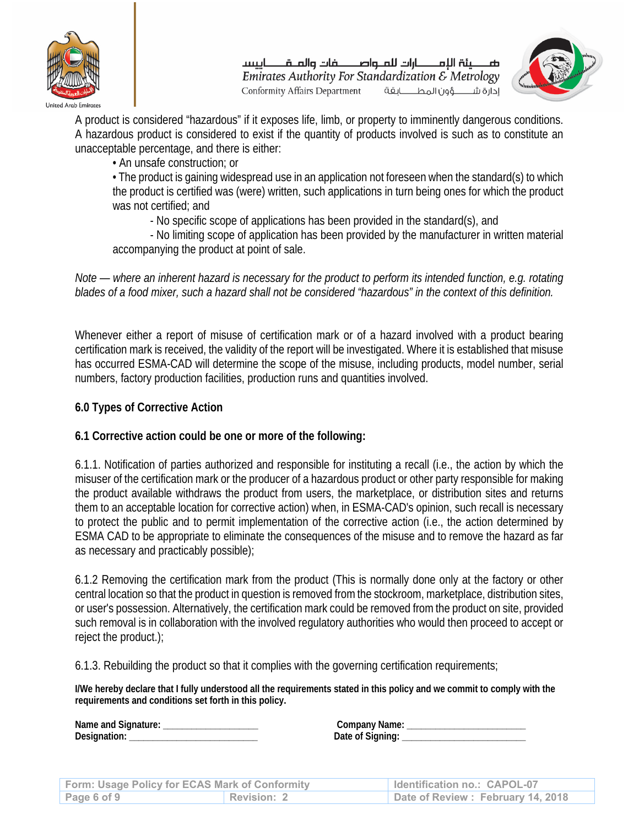

صــــــينة اللمــــــــارات للمــواصــــــــضات والمــقــــــــاييسـ Emirates Authority For Standardization  $\mathcal E$  Metrology Conformity Affairs Department إدارة شهؤون المطابقة



A product is considered "hazardous" if it exposes life, limb, or property to imminently dangerous conditions. A hazardous product is considered to exist if the quantity of products involved is such as to constitute an unacceptable percentage, and there is either:

• An unsafe construction; or

• The product is gaining widespread use in an application not foreseen when the standard(s) to which the product is certified was (were) written, such applications in turn being ones for which the product was not certified; and

- No specific scope of applications has been provided in the standard(s), and

- No limiting scope of application has been provided by the manufacturer in written material accompanying the product at point of sale.

*Note — where an inherent hazard is necessary for the product to perform its intended function, e.g. rotating blades of a food mixer, such a hazard shall not be considered "hazardous" in the context of this definition.* 

Whenever either a report of misuse of certification mark or of a hazard involved with a product bearing certification mark is received, the validity of the report will be investigated. Where it is established that misuse has occurred ESMA-CAD will determine the scope of the misuse, including products, model number, serial numbers, factory production facilities, production runs and quantities involved.

# **6.0 Types of Corrective Action**

#### **6.1 Corrective action could be one or more of the following:**

6.1.1. Notification of parties authorized and responsible for instituting a recall (i.e., the action by which the misuser of the certification mark or the producer of a hazardous product or other party responsible for making the product available withdraws the product from users, the marketplace, or distribution sites and returns them to an acceptable location for corrective action) when, in ESMA-CAD's opinion, such recall is necessary to protect the public and to permit implementation of the corrective action (i.e., the action determined by ESMA CAD to be appropriate to eliminate the consequences of the misuse and to remove the hazard as far as necessary and practicably possible);

6.1.2 Removing the certification mark from the product (This is normally done only at the factory or other central location so that the product in question is removed from the stockroom, marketplace, distribution sites, or user's possession. Alternatively, the certification mark could be removed from the product on site, provided such removal is in collaboration with the involved regulatory authorities who would then proceed to accept or reject the product.);

6.1.3. Rebuilding the product so that it complies with the governing certification requirements;

**I/We hereby declare that I fully understood all the requirements stated in this policy and we commit to comply with the requirements and conditions set forth in this policy.** 

| <b>Form: Usage Policy for ECAS Mark of Conformity</b> |             | Identification no.: CAPOL-07      |
|-------------------------------------------------------|-------------|-----------------------------------|
| Page 6 of 9                                           | Revision: 2 | Date of Review: February 14, 2018 |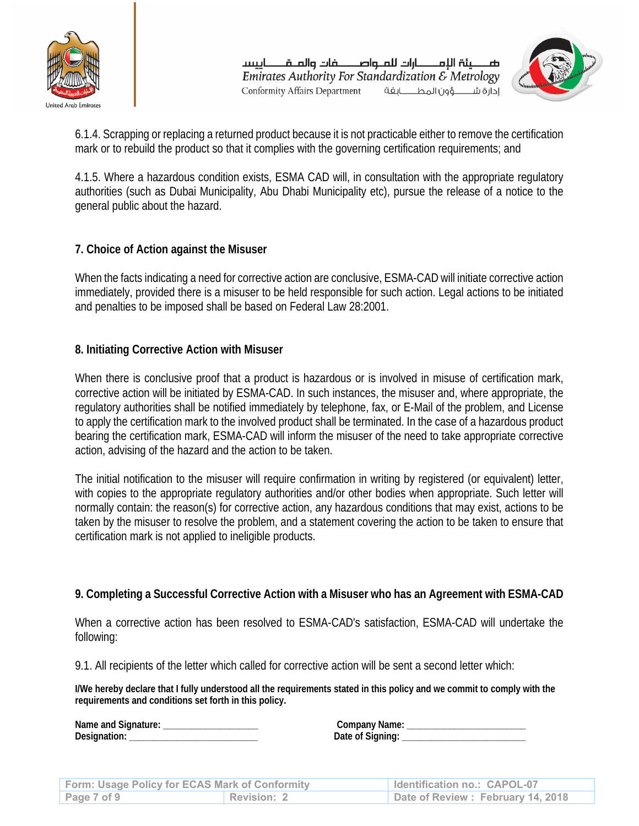

ضصينة اللمصارات للملواصصفات والملقصاييسا Emirates Authority For Standardization  $\mathcal E$  Metrology **Conformity Affairs Department** إدارة شهؤون المطابقة



6.1.4. Scrapping or replacing a returned product because it is not practicable either to remove the certification mark or to rebuild the product so that it complies with the governing certification requirements; and

4.1.5. Where a hazardous condition exists, ESMA CAD will, in consultation with the appropriate regulatory authorities (such as Dubai Municipality, Abu Dhabi Municipality etc), pursue the release of a notice to the general public about the hazard.

# **7. Choice of Action against the Misuser**

When the facts indicating a need for corrective action are conclusive, ESMA-CAD will initiate corrective action immediately, provided there is a misuser to be held responsible for such action. Legal actions to be initiated and penalties to be imposed shall be based on Federal Law 28:2001.

# **8. Initiating Corrective Action with Misuser**

When there is conclusive proof that a product is hazardous or is involved in misuse of certification mark, corrective action will be initiated by ESMA-CAD. In such instances, the misuser and, where appropriate, the regulatory authorities shall be notified immediately by telephone, fax, or E-Mail of the problem, and License to apply the certification mark to the involved product shall be terminated. In the case of a hazardous product bearing the certification mark, ESMA-CAD will inform the misuser of the need to take appropriate corrective action, advising of the hazard and the action to be taken.

The initial notification to the misuser will require confirmation in writing by registered (or equivalent) letter, with copies to the appropriate regulatory authorities and/or other bodies when appropriate. Such letter will normally contain: the reason(s) for corrective action, any hazardous conditions that may exist, actions to be taken by the misuser to resolve the problem, and a statement covering the action to be taken to ensure that certification mark is not applied to ineligible products.

#### **9. Completing a Successful Corrective Action with a Misuser who has an Agreement with ESMA-CAD**

When a corrective action has been resolved to ESMA-CAD's satisfaction, ESMA-CAD will undertake the following:

9.1. All recipients of the letter which called for corrective action will be sent a second letter which:

**I/We hereby declare that I fully understood all the requirements stated in this policy and we commit to comply with the requirements and conditions set forth in this policy.** 

| Form: Usage Policy for ECAS Mark of Conformity |             | Identification no.: CAPOL-07      |
|------------------------------------------------|-------------|-----------------------------------|
| Page 7 of 9                                    | Revision: 2 | Date of Review: February 14, 2018 |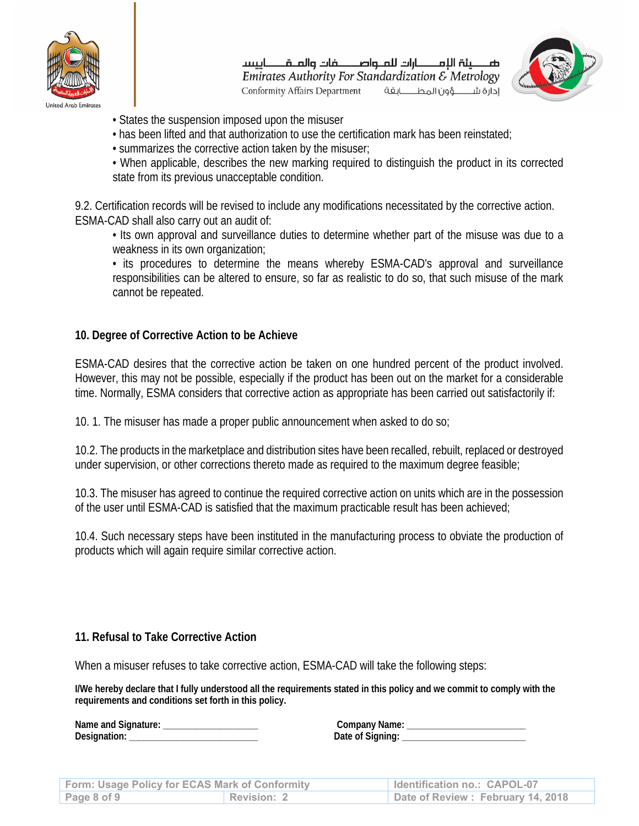

صصينة الإمصارات للملواصصفات والملقصاييسا Emirates Authority For Standardization & Metrology Conformity Affairs Department إدارة شهون المطابقة



- States the suspension imposed upon the misuser
- has been lifted and that authorization to use the certification mark has been reinstated;
- summarizes the corrective action taken by the misuser;
- When applicable, describes the new marking required to distinguish the product in its corrected state from its previous unacceptable condition.

9.2. Certification records will be revised to include any modifications necessitated by the corrective action. ESMA-CAD shall also carry out an audit of:

• Its own approval and surveillance duties to determine whether part of the misuse was due to a weakness in its own organization;

• its procedures to determine the means whereby ESMA-CAD's approval and surveillance responsibilities can be altered to ensure, so far as realistic to do so, that such misuse of the mark cannot be repeated.

#### **10. Degree of Corrective Action to be Achieve**

ESMA-CAD desires that the corrective action be taken on one hundred percent of the product involved. However, this may not be possible, especially if the product has been out on the market for a considerable time. Normally, ESMA considers that corrective action as appropriate has been carried out satisfactorily if:

10. 1. The misuser has made a proper public announcement when asked to do so;

10.2. The products in the marketplace and distribution sites have been recalled, rebuilt, replaced or destroyed under supervision, or other corrections thereto made as required to the maximum degree feasible;

10.3. The misuser has agreed to continue the required corrective action on units which are in the possession of the user until ESMA-CAD is satisfied that the maximum practicable result has been achieved;

10.4. Such necessary steps have been instituted in the manufacturing process to obviate the production of products which will again require similar corrective action.

#### **11. Refusal to Take Corrective Action**

When a misuser refuses to take corrective action, ESMA-CAD will take the following steps:

**I/We hereby declare that I fully understood all the requirements stated in this policy and we commit to comply with the requirements and conditions set forth in this policy.** 

| Form: Usage Policy for ECAS Mark of Conformity |                    | Identification no.: CAPOL-07      |
|------------------------------------------------|--------------------|-----------------------------------|
| Page 8 of 9                                    | <b>Revision: 2</b> | Date of Review: February 14, 2018 |